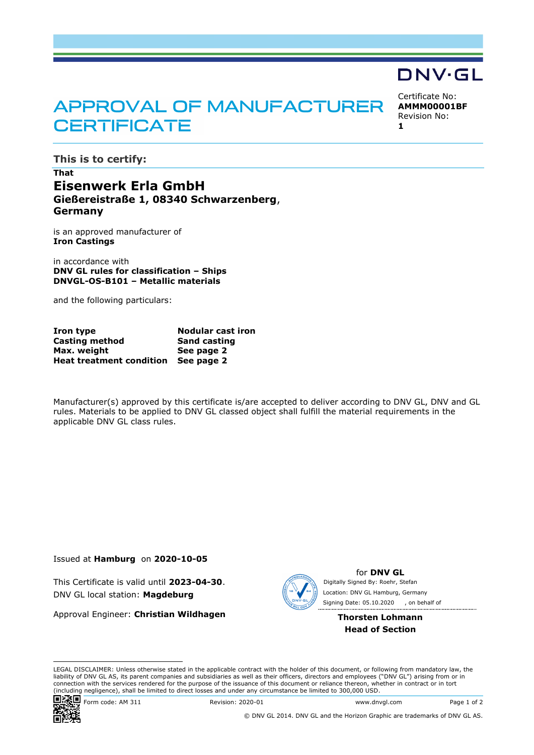# **APPROVAL OF MANUFACTURER CERTIFICATE**

Certificate No: **AMMM00001BF** Revision No: **1**

DNV·GL

**This is to certify:**

## **That Eisenwerk Erla GmbH Gießereistraße 1, 08340 Schwarzenberg**, **Germany**

is an approved manufacturer of **Iron Castings**

in accordance with **DNV GL rules for classification – Ships DNVGL-OS-B101 – Metallic materials**

and the following particulars:

| Iron type                           | <b>Nodular cast iron</b><br><b>Sand casting</b> |  |  |
|-------------------------------------|-------------------------------------------------|--|--|
| Casting method                      |                                                 |  |  |
| Max. weight                         | See page 2                                      |  |  |
| Heat treatment condition See page 2 |                                                 |  |  |

Manufacturer(s) approved by this certificate is/are accepted to deliver according to DNV GL, DNV and GL rules. Materials to be applied to DNV GL classed object shall fulfill the material requirements in the applicable DNV GL class rules.

Issued at **Hamburg** on **2020-10-05**

This Certificate is valid until **2023-04-30**. DNV GL local station: **Magdeburg**

Approval Engineer: **Christian Wildhagen**



for **DNV GL** Signing Date: 05.10.2020 , on behalf ofDigitally Signed By: Roehr, Stefan Location: DNV GL Hamburg, Germany

> **Thorsten Lohmann Head of Section**

LEGAL DISCLAIMER: Unless otherwise stated in the applicable contract with the holder of this document, or following from mandatory law, the liability of DNV GL AS, its parent companies and subsidiaries as well as their officers, directors and employees ("DNV GL") arising from or in connection with the services rendered for the purpose of the issuance of this document or reliance thereon, whether in contract or in tort (including negligence), shall be limited to direct losses and under any circumstance be limited to 300,000 USD.



Form code: AM 311 Revision: 2020-01 www.dnvgl.com Page 1 of 2

© DNV GL 2014. DNV GL and the Horizon Graphic are trademarks of DNV GL AS.